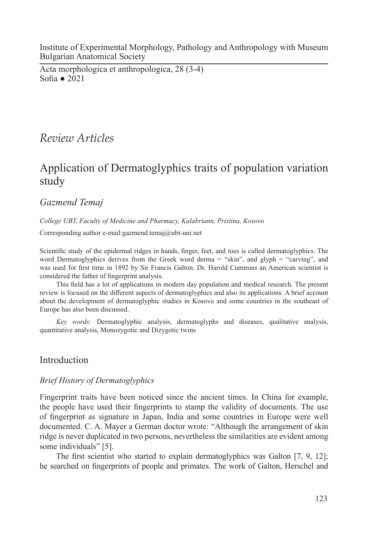Institute of Experimental Morphology, Pathology and Anthropology with Museum Bulgarian Anatomical Society

Acta morphologica et anthropologica, 28 (3-4) Sofia ● 2021

# *Review Articles*

# Application of Dermatoglyphics traits of population variation study

# *Gazmend Temaj*

*College UBT, Faculty of Medicine and Pharmacy, Kalabriann, Pristina, Kosovo*

Corresponding author e-mail:gazmend.temaj@ubt-uni.net

Scientific study of the epidermal ridges in hands, finger, feet, and toes is called dermatoglyphics. The word Dermatoglyphics derives from the Greek word derma = "skin", and glyph = "carving", and was used for first time in 1892 by Sir Francis Galton. Dr. Harold Cummins an American scientist is considered the father of fingerprint analysis.

This field has a lot of applications in modern day population and medical research. The present review is focused on the different aspects of dermatoglyphics and also its applications. A brief account about the development of dermatoglyphic studies in Kosovo and some countries in the southeast of Europe has also been discussed.

*Key words:* Dermatoglyphic analysis, dermatoglyphs and diseases, qualitative analysis, quantitative analysis, Monozygotic and Dizygotic twins

## Introduction

### *Brief History of Dermatoglyphics*

Fingerprint traits have been noticed since the ancient times. In China for example, the people have used their fingerprints to stamp the validity of documents. The use of fingerprint as signature in Japan, India and some countries in Europe were well documented. C. A. Mayer a German doctor wrote: "Although the arrangement of skin ridge is never duplicated in two persons, nevertheless the similarities are evident among some individuals" [5].

The first scientist who started to explain dermatoglyphics was Galton [7, 9, 12]; he searched on fingerprints of people and primates. The work of Galton, Herschel and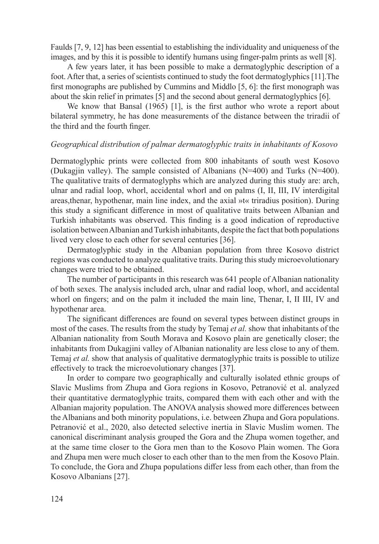Faulds [7, 9, 12] has been essential to establishing the individuality and uniqueness of the images, and by this it is possible to identify humans using finger-palm prints as well [8].

A few years later, it has been possible to make a dermatoglyphic description of a foot. After that, a series of scientists continued to study the foot dermatoglyphics [11].The first monographs are published by Cummins and Middlo [5, 6]: the first monograph was about the skin relief in primates [5] and the second about general dermatoglyphics [6].

We know that Bansal (1965) [1], is the first author who wrote a report about bilateral symmetry, he has done measurements of the distance between the triradii of the third and the fourth finger.

#### *Geographical distribution of palmar dermatoglyphic traits in inhabitants of Kosovo*

Dermatoglyphic prints were collected from 800 inhabitants of south west Kosovo (Dukagjin valley). The sample consisted of Albanians (N=400) and Turks (N=400). The qualitative traits of dermatoglyphs which are analyzed during this study are: arch, ulnar and radial loop, whorl, accidental whorl and on palms (I, II, III, IV interdigital areas,thenar, hypothenar, main line index, and the axial »t« triradius position). During this study a significant difference in most of qualitative traits between Albanian and Turkish inhabitants was observed. This finding is a good indication of reproductive isolation between Albanian and Turkish inhabitants, despite the fact that both populations lived very close to each other for several centuries [36].

Dermatoglyphic study in the Albanian population from three Kosovo district regions was conducted to analyze qualitative traits. During this study microevolutionary changes were tried to be obtained.

The number of participants in this research was 641 people of Albanian nationality of both sexes. The analysis included arch, ulnar and radial loop, whorl, and accidental whorl on fingers; and on the palm it included the main line, Thenar, I, II III, IV and hypothenar area.

The significant differences are found on several types between distinct groups in most of the cases. The results from the study by Temaj *et al.* show that inhabitants of the Albanian nationality from South Morava and Kosovo plain are genetically closer; the inhabitants from Dukagjini valley of Albanian nationality are less close to any of them. Temaj *et al.* show that analysis of qualitative dermatoglyphic traits is possible to utilize effectively to track the microevolutionary changes [37].

In order to compare two geographically and culturally isolated ethnic groups of Slavic Muslims from Zhupa and Gora regions in Kosovo, Petranović et al. analyzed their quantitative dermatoglyphic traits, compared them with each other and with the Albanian majority population. The ANOVA analysis showed more differences between the Albanians and both minority populations, i.e. between Zhupa and Gora populations. Petranović et al., 2020, also detected selective inertia in Slavic Muslim women. The canonical discriminant analysis grouped the Gora and the Zhupa women together, and at the same time closer to the Gora men than to the Kosovo Plain women. The Gora and Zhupa men were much closer to each other than to the men from the Kosovo Plain. To conclude, the Gora and Zhupa populations differ less from each other, than from the Kosovo Albanians [27].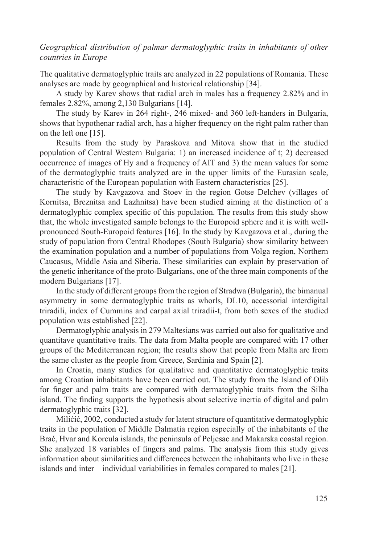### *Geographical distribution of palmar dermatoglyphic traits in inhabitants of other countries in Europe*

The qualitative dermatoglyphic traits are analyzed in 22 populations of Romania. These analyses are made by geographical and historical relationship [34].

A study by Karev shows that radial arch in males has a frequency 2.82% and in females 2.82%, among 2,130 Bulgarians [14].

The study by Karev in 264 right-, 246 mixed- and 360 left-handers in Bulgaria, shows that hypothenar radial arch, has a higher frequency on the right palm rather than on the left one [15].

Results from the study by Paraskova and Mitova show that in the studied population of Central Western Bulgaria: 1) an increased incidence of t; 2) decreased occurrence of images of Hy and a frequency of AIT and 3) the mean values for some of the dermatoglyphic traits analyzed are in the upper limits of the Eurasian scale, characteristic of the European population with Eastern characteristics [25].

The study by Kavgazova and Stoev in the region Gotse Delchev (villages of Kornitsa, Breznitsa and Lazhnitsa) have been studied aiming at the distinction of a dermatoglyphic complex specific of this population. The results from this study show that, the whole investigated sample belongs to the Europoid sphere and it is with wellpronounced South-Europoid features [16]. In the study by Kavgazova et al., during the study of population from Central Rhodopes (South Bulgaria) show similarity between the examination population and a number of populations from Volga region, Northern Caucasus, Middle Asia and Siberia. These similarities can explain by preservation of the genetic inheritance of the proto-Bulgarians, one of the three main components of the modern Bulgarians [17].

In the study of different groups from the region of Stradwa (Bulgaria), the bimanual asymmetry in some dermatoglyphic traits as whorls, DL10, accessorial interdigital triradili, index of Cummins and carpal axial triradii-t, from both sexes of the studied population was established [22].

Dermatoglyphic analysis in 279 Maltesians was carried out also for qualitative and quantitave quantitative traits. The data from Malta people are compared with 17 other groups of the Mediterranean region; the results show that people from Malta are from the same cluster as the people from Greece, Sardinia and Spain [2].

In Croatia, many studies for qualitative and quantitative dermatoglyphic traits among Croatian inhabitants have been carried out. The study from the Island of Olib for finger and palm traits are compared with dermatoglyphic traits from the Silba island. The finding supports the hypothesis about selective inertia of digital and palm dermatoglyphic traits [32].

Milićić, 2002, conducted a study for latent structure of quantitative dermatoglyphic traits in the population of Middle Dalmatia region especially of the inhabitants of the Brać, Hvar and Korcula islands, the peninsula of Peljesac and Makarska coastal region. She analyzed 18 variables of fingers and palms. The analysis from this study gives information about similarities and differences between the inhabitants who live in these islands and inter – individual variabilities in females compared to males [21].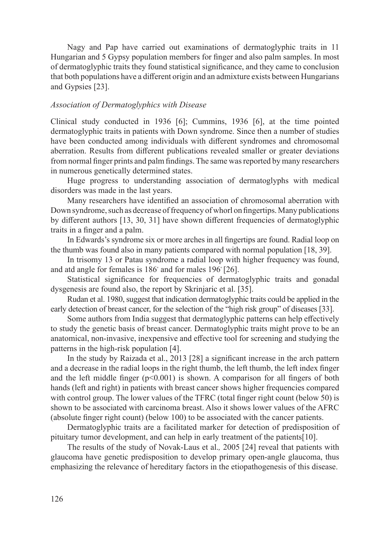Nagy and Pap have carried out examinations of dermatoglyphic traits in 11 Hungarian and 5 Gypsy population members for finger and also palm samples. In most of dermatoglyphic traits they found statistical significance, and they came to conclusion that both populations have a different origin and an admixture exists between Hungarians and Gypsies [23].

#### *Association of Dermatoglyphics with Disease*

Clinical study conducted in 1936 [6]; Cummins, 1936 [6], at the time pointed dermatoglyphic traits in patients with Down syndrome. Since then a number of studies have been conducted among individuals with different syndromes and chromosomal aberration. Results from different publications revealed smaller or greater deviations from normal finger prints and palm findings. The same was reported by many researchers in numerous genetically determined states.

Huge progress to understanding association of dermatoglyphs with medical disorders was made in the last years.

Many researchers have identified an association of chromosomal aberration with Down syndrome, such as decrease of frequency of whorl on fingertips. Many publications by different authors [13, 30, 31] have shown different frequencies of dermatoglyphic traits in a finger and a palm.

In Edwards's syndrome six or more arches in all fingertips are found. Radial loop on the thumb was found also in many patients compared with normal population [18, 39].

In trisomy 13 or Patau syndrome a radial loop with higher frequency was found, and atd angle for females is 186▫ and for males 196▫ [26].

Statistical significance for frequencies of dermatoglyphic traits and gonadal dysgenesis are found also, the report by Skrinjaric et al. [35].

Rudan et al. 1980, suggest that indication dermatoglyphic traits could be applied in the early detection of breast cancer, for the selection of the "high risk group" of diseases [33].

Some authors from India suggest that dermatoglyphic patterns can help effectively to study the genetic basis of breast cancer. Dermatoglyphic traits might prove to be an anatomical, non-invasive, inexpensive and effective tool for screening and studying the patterns in the high-risk population [4].

In the study by Raizada et al., 2013 [28] a significant increase in the arch pattern and a decrease in the radial loops in the right thumb, the left thumb, the left index finger and the left middle finger  $(p<0.001)$  is shown. A comparison for all fingers of both hands (left and right) in patients with breast cancer shows higher frequencies compared with control group. The lower values of the TFRC (total finger right count (below 50) is shown to be associated with carcinoma breast. Also it shows lower values of the AFRC (absolute finger right count) (below 100) to be associated with the cancer patients.

Dermatoglyphic traits are a facilitated marker for detection of predisposition of pituitary tumor development, and can help in early treatment of the patients[10].

The results of the study of Novak-Laus et al.*,* 2005 [24] reveal that patients with glaucoma have genetic predisposition to develop primary open-angle glaucoma, thus emphasizing the relevance of hereditary factors in the etiopathogenesis of this disease.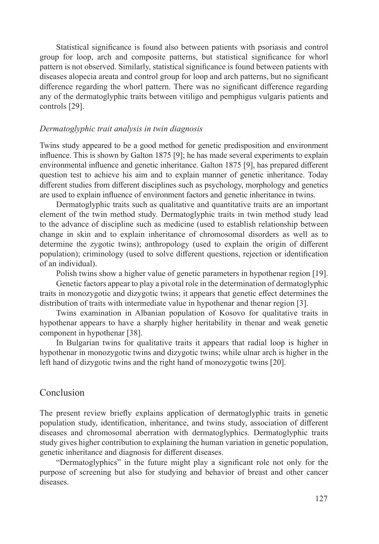Statistical significance is found also between patients with psoriasis and control group for loop, arch and composite patterns, but statistical significance for whorl pattern is not observed. Similarly, statistical significance is found between patients with diseases alopecia areata and control group for loop and arch patterns, but no significant difference regarding the whorl pattern. There was no significant difference regarding any of the dermatoglyphic traits between vitiligo and pemphigus vulgaris patients and controls [29].

#### *Dermatoglyphic trait analysis in twin diagnosis*

Twins study appeared to be a good method for genetic predisposition and environment influence. This is shown by Galton 1875 [9]; he has made several experiments to explain environmental influence and genetic inheritance. Galton 1875 [9], has prepared different question test to achieve his aim and to explain manner of genetic inheritance. Today different studies from different disciplines such as psychology, morphology and genetics are used to explain influence of environment factors and genetic inheritance in twins.

Dermatoglyphic traits such as qualitative and quantitative traits are an important element of the twin method study. Dermatoglyphic traits in twin method study lead to the advance of discipline such as medicine (used to establish relationship between change in skin and to explain inheritance of chromosomal disorders as well as to determine the zygotic twins); anthropology (used to explain the origin of different population); criminology (used to solve different questions, rejection or identification of an individual).

Polish twins show a higher value of genetic parameters in hypothenar region [19].

Genetic factors appear to play a pivotal role in the determination of dermatoglyphic traits in monozygotic and dizygotic twins; it appears that genetic effect determines the distribution of traits with intermediate value in hypothenar and thenar region [3].

Twins examination in Albanian population of Kosovo for qualitative traits in hypothenar appears to have a sharply higher heritability in thenar and weak genetic component in hypothenar [38].

In Bulgarian twins for qualitative traits it appears that radial loop is higher in hypothenar in monozygotic twins and dizygotic twins; while ulnar arch is higher in the left hand of dizygotic twins and the right hand of monozygotic twins [20].

## Conclusion

The present review briefly explains application of dermatoglyphic traits in genetic population study, identification, inheritance, and twins study, association of different diseases and chromosomal aberration with dermatoglyphics. Dermatoglyphic traits study gives higher contribution to explaining the human variation in genetic population, genetic inheritance and diagnosis for different diseases.

"Dermatoglyphics" in the future might play a significant role not only for the purpose of screening but also for studying and behavior of breast and other cancer diseases.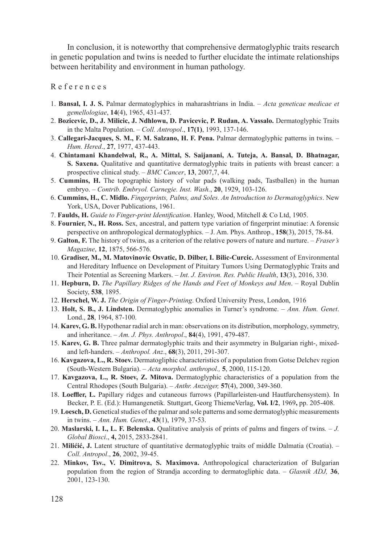In conclusion, it is noteworthy that comprehensive dermatoglyphic traits research in genetic population and twins is needed to further elucidate the intimate relationships between heritability and environment in human pathology.

R e f e r e n c e s

- 1. **Bansal, I. J. S.** Palmar dermatoglyphics in maharashtrians in India. *Acta geneticae medicae et gemellologiae*, **14**(4), 1965, 431-437.
- 2. **Bozicevic, D., J. Milicic, J. Ndhlowu, D. Pavicevic, P. Rudan, A. Vassalo.** Dermatoglyphic Traits in the Malta Population. – *Coll. Antropol*., **17(1)**, 1993, 137-146.
- 3. **Callegari-Jacques, S. M., F. M. Salzano, H. F. Pena.** Palmar dermatoglyphic patterns in twins. *Hum. Hered*., **27**, 1977, 437-443.
- 4. **Chintamani Khandelwal, R., A. Mittal, S. Saijanani, A. Tuteja, A. Bansal, D. Bhatnagar, S. Saxena.** Qualitative and quantitative dermatoglyphic traits in patients with breast cancer: a prospective clinical study. – *BMC Cancer*, **13**, 2007,7, 44.
- 5. **Cummins, H.** The topographic history of volar pads (walking pads, Tastballen) in the human embryo. – *Contrib. Embryol. Carnegie. Inst. Wash.*, **20**, 1929, 103-126.
- 6. **Cummins, H., C. Midlo.** *Fingerprints, Palms, and Soles. An Introduction to Dermatoglyphics*. New York, USA, Dover Publications, 1961.
- 7. **Faulds, H.** *Guide to Finger-print Identification*. Hanley, Wood, Mitchell & Co Ltd, 1905.
- 8. **Fournier, N., H. Ross.** Sex, ancestral, and pattern type variation of fingerprint minutiae: A forensic perspective on anthropological dermatoglyphics. – J. Am. Phys. Anthrop., **158**(3), 2015, 78-84.
- 9. **Galton, F.** The history of twins, as a criterion of the relative powers of nature and nurture. *Fraser's Magazine*, **12**, 1875, 566-576.
- 10. **Gradiser, M., M. Matovinovic Osvatic, D. Dilber, I. Bilic-Curcic.** Assessment of Environmental and Hereditary Influence on Development of Pituitary Tumors Using Dermatoglyphic Traits and Their Potential as Screening Markers. – *Int. J. Environ. Res. Public Health*, **13**(3), 2016, 330.
- 11. **Hepburn, D.** *The Papillary Ridges of the Hands and Feet of Monkeys and Men*. Royal Dublin Society, **538**, 1895.
- 12. **Herschel, W. J.** *The Origin of Finger-Printing*. Oxford University Press, London, 1916
- 13. **Holt, S. B., J. Lindsten.** Dermatoglyphic anomalies in Turner's syndrome. *Ann. Hum. Genet*. Lond., **28**, 1964, 87-100.
- 14. **Karev, G. B.** Hypothenar radial arch in man: observations on its distribution, morphology, symmetry, and inheritance. – *Am. J. Phys. Anthropol*., **84**(4), 1991, 479-487.
- 15. **Karev, G. B.** Three palmar dermatoglyphic traits and their asymmetry in Bulgarian right-, mixedand left-handers. – *Anthropol. Anz*., **68**(3), 2011, 291-307.
- 16. **Kavgazova, L., R. Stoev.** Dermatogliphic characteristics of a population from Gotse Delchev region (South-Western Bulgaria). – *Acta morphol. anthropol.,* **5**, 2000, 115-120.
- 17. **Kavgazova, L., R. Stoev, Z. Mitova.** Dermatoglyphic characteristics of a population from the Central Rhodopes (South Bulgaria). – *Anthr. Anzeiger,* **57**(4), 2000, 349-360.
- 18. **Loeffler, L.** Papillary ridges and cutaneous furrows (Papillarleisten-und Hautfurchensystem). In Becker, P. E. (Ed.): Humangenetik*.* Stuttgart, Georg ThiemeVerlag, **Vol. I/2**, 1969**,** pp. 205-408.
- 19. **Loesch, D.** Genetical studies of the palmar and sole patterns and some derrnatoglyphic measurements in twins. – *Ann. Hum. Genet.*, **43**(1), 1979, 37-53.
- 20. **Maslarski, I. I., L. F. Belenska.** Qualitative analysis of prints of palms and fingers of twins*. J. Global Biosci*., **4,** 2015, 2833-2841.
- 21. **Milićić, J.** Latent structure of quantitative dermatoglyphic traits of middle Dalmatia (Croatia). *Coll. Antropol*., **26**, 2002, 39-45.
- 22. **Minkov, Tsv., V. Dimitrova, S. Maximova.** Anthropological characterization of Bulgarian population from the region of Strandja according to dermatogliphic data. – *Glasnik ADJ,* **36**, 2001, 123-130.